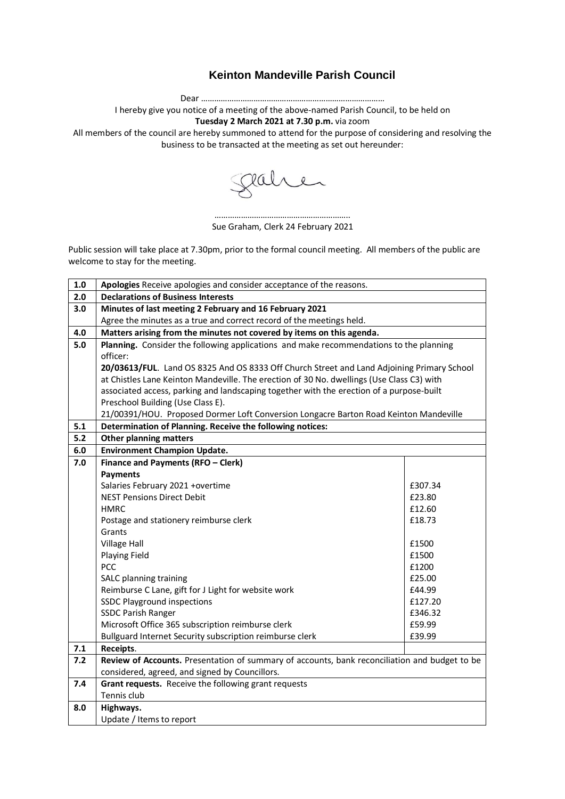## **Keinton Mandeville Parish Council**

Dear …………………………………………………………………………

I hereby give you notice of a meeting of the above-named Parish Council, to be held on

**Tuesday 2 March 2021 at 7.30 p.m.** via zoom

All members of the council are hereby summoned to attend for the purpose of considering and resolving the business to be transacted at the meeting as set out hereunder:

Jahren

…………………………………………………….. Sue Graham, Clerk 24 February 2021

Public session will take place at 7.30pm, prior to the formal council meeting. All members of the public are welcome to stay for the meeting.

| 1.0   | Apologies Receive apologies and consider acceptance of the reasons.                           |         |  |
|-------|-----------------------------------------------------------------------------------------------|---------|--|
| 2.0   | <b>Declarations of Business Interests</b>                                                     |         |  |
| 3.0   | Minutes of last meeting 2 February and 16 February 2021                                       |         |  |
|       | Agree the minutes as a true and correct record of the meetings held.                          |         |  |
| 4.0   | Matters arising from the minutes not covered by items on this agenda.                         |         |  |
| $5.0$ | Planning. Consider the following applications and make recommendations to the planning        |         |  |
|       | officer:                                                                                      |         |  |
|       | 20/03613/FUL. Land OS 8325 And OS 8333 Off Church Street and Land Adjoining Primary School    |         |  |
|       | at Chistles Lane Keinton Mandeville. The erection of 30 No. dwellings (Use Class C3) with     |         |  |
|       | associated access, parking and landscaping together with the erection of a purpose-built      |         |  |
|       | Preschool Building (Use Class E).                                                             |         |  |
|       | 21/00391/HOU. Proposed Dormer Loft Conversion Longacre Barton Road Keinton Mandeville         |         |  |
| 5.1   | Determination of Planning. Receive the following notices:                                     |         |  |
| 5.2   | <b>Other planning matters</b>                                                                 |         |  |
| 6.0   | <b>Environment Champion Update.</b>                                                           |         |  |
| 7.0   | Finance and Payments (RFO - Clerk)                                                            |         |  |
|       | <b>Payments</b>                                                                               |         |  |
|       | Salaries February 2021 +overtime                                                              | £307.34 |  |
|       | <b>NEST Pensions Direct Debit</b>                                                             | £23.80  |  |
|       | <b>HMRC</b>                                                                                   | £12.60  |  |
|       | Postage and stationery reimburse clerk                                                        | £18.73  |  |
|       | Grants                                                                                        |         |  |
|       | <b>Village Hall</b>                                                                           | £1500   |  |
|       | Playing Field                                                                                 | £1500   |  |
|       | PCC                                                                                           | £1200   |  |
|       | SALC planning training                                                                        | £25.00  |  |
|       | Reimburse C Lane, gift for J Light for website work                                           | £44.99  |  |
|       | <b>SSDC Playground inspections</b>                                                            | £127.20 |  |
|       | <b>SSDC Parish Ranger</b>                                                                     | £346.32 |  |
|       | Microsoft Office 365 subscription reimburse clerk                                             | £59.99  |  |
|       | Bullguard Internet Security subscription reimburse clerk                                      | £39.99  |  |
| 7.1   | Receipts.                                                                                     |         |  |
| 7.2   | Review of Accounts. Presentation of summary of accounts, bank reconciliation and budget to be |         |  |
|       | considered, agreed, and signed by Councillors.                                                |         |  |
| 7.4   | Grant requests. Receive the following grant requests                                          |         |  |
|       | Tennis club                                                                                   |         |  |
| 8.0   | Highways.                                                                                     |         |  |
|       | Update / Items to report                                                                      |         |  |